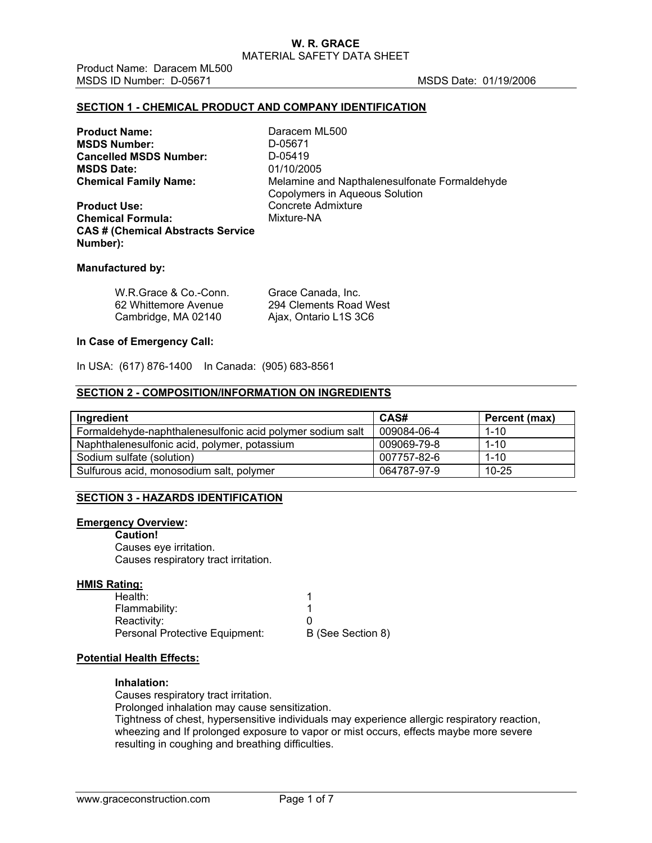### **SECTION 1 - CHEMICAL PRODUCT AND COMPANY IDENTIFICATION**

**Product Name:** Daracem ML500 **MSDS Number:** D-05671 **Cancelled MSDS Number:** D-05419 **MSDS Date:** 01/10/2005<br> **Chemical Family Name:** Melamine a

**Product Use:** Concrete Admixture<br> **Chemical Formula:** Mixture-NA **Chemical Formula: CAS # (Chemical Abstracts Service Number):**

**Melamine and Napthalenesulfonate Formaldehyde** Copolymers in Aqueous Solution

## **Manufactured by:**

| W.R.Grace & Co.-Conn. | Grace Canada, Inc.     |
|-----------------------|------------------------|
| 62 Whittemore Avenue  | 294 Clements Road West |
| Cambridge, MA 02140   | Ajax, Ontario L1S 3C6  |

## **In Case of Emergency Call:**

In USA: (617) 876-1400 In Canada: (905) 683-8561

## **SECTION 2 - COMPOSITION/INFORMATION ON INGREDIENTS**

| Ingredient                                                | CAS#        | Percent (max) |
|-----------------------------------------------------------|-------------|---------------|
| Formaldehyde-naphthalenesulfonic acid polymer sodium salt | 009084-06-4 | $1 - 10$      |
| Naphthalenesulfonic acid, polymer, potassium              | 009069-79-8 | $1 - 10$      |
| Sodium sulfate (solution)                                 | 007757-82-6 | $1 - 10$      |
| Sulfurous acid, monosodium salt, polymer                  | 064787-97-9 | $10 - 25$     |

## **SECTION 3 - HAZARDS IDENTIFICATION**

## **Emergency Overview:**

**Caution!** Causes eye irritation. Causes respiratory tract irritation.

## **HMIS Rating:**

| B (See Section 8) |
|-------------------|
|                   |

## **Potential Health Effects:**

### **Inhalation:**

Causes respiratory tract irritation. Prolonged inhalation may cause sensitization. Tightness of chest, hypersensitive individuals may experience allergic respiratory reaction, wheezing and If prolonged exposure to vapor or mist occurs, effects maybe more severe resulting in coughing and breathing difficulties.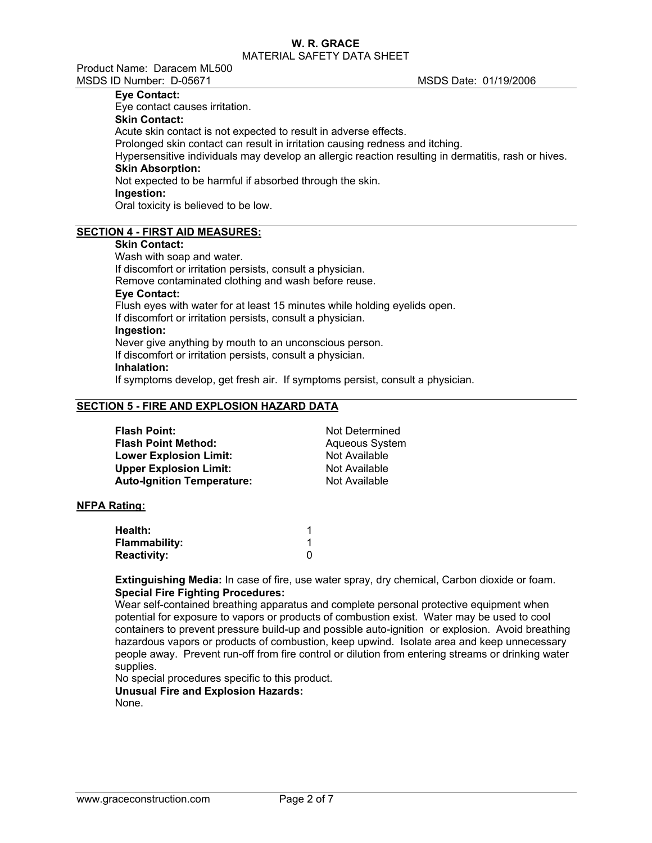Product Name: Daracem ML500 MSDS ID Number: D-05671 MSDS Date: 01/19/2006

## **Eye Contact:**

Eye contact causes irritation.

## **Skin Contact:**

Acute skin contact is not expected to result in adverse effects.

Prolonged skin contact can result in irritation causing redness and itching.

Hypersensitive individuals may develop an allergic reaction resulting in dermatitis, rash or hives. **Skin Absorption:** 

Not expected to be harmful if absorbed through the skin.

## **Ingestion:**

Oral toxicity is believed to be low.

## **SECTION 4 - FIRST AID MEASURES:**

## **Skin Contact:**

Wash with soap and water. If discomfort or irritation persists, consult a physician. Remove contaminated clothing and wash before reuse. **Eye Contact:** Flush eyes with water for at least 15 minutes while holding eyelids open. If discomfort or irritation persists, consult a physician. **Ingestion:**  Never give anything by mouth to an unconscious person. If discomfort or irritation persists, consult a physician. **Inhalation:**  If symptoms develop, get fresh air. If symptoms persist, consult a physician.

## **SECTION 5 - FIRE AND EXPLOSION HAZARD DATA**

| Flash Point:                  | Not Determined        |
|-------------------------------|-----------------------|
| Flash Point Method:           | <b>Aqueous System</b> |
| <b>Lower Explosion Limit:</b> | Not Available         |
| <b>Upper Explosion Limit:</b> | Not Available         |
| Auto-Ignition Temperature:    | Not Available         |
|                               |                       |

## **NFPA Rating:**

| Health:            |  |
|--------------------|--|
| Flammability:      |  |
| <b>Reactivity:</b> |  |

**Extinguishing Media:** In case of fire, use water spray, dry chemical, Carbon dioxide or foam. **Special Fire Fighting Procedures:**

Wear self-contained breathing apparatus and complete personal protective equipment when potential for exposure to vapors or products of combustion exist. Water may be used to cool containers to prevent pressure build-up and possible auto-ignition or explosion. Avoid breathing hazardous vapors or products of combustion, keep upwind. Isolate area and keep unnecessary people away. Prevent run-off from fire control or dilution from entering streams or drinking water supplies.

No special procedures specific to this product. **Unusual Fire and Explosion Hazards:**  None.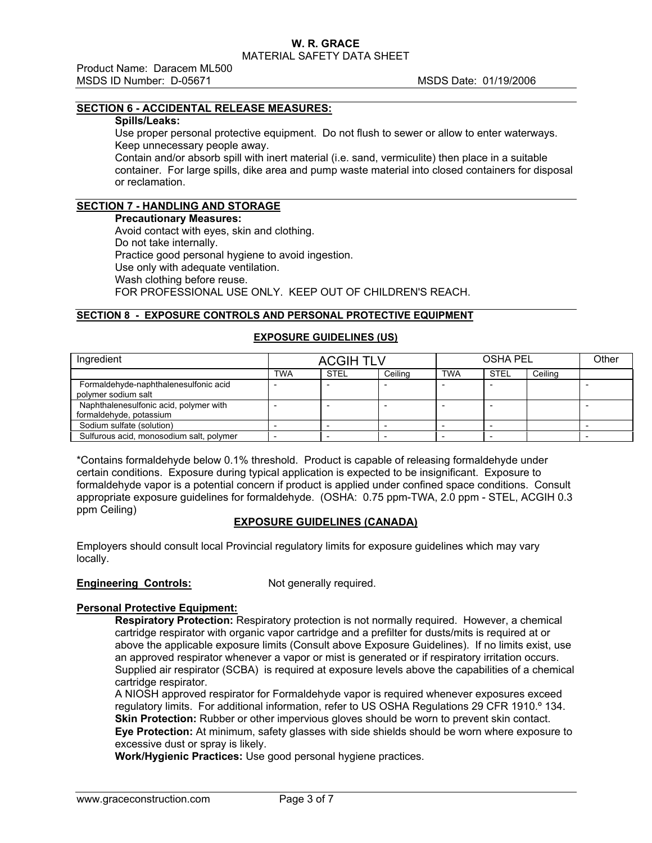Product Name: Daracem ML500 MSDS ID Number: D-05671 MSDS Date: 01/19/2006

## **SECTION 6 - ACCIDENTAL RELEASE MEASURES:**

## **Spills/Leaks:**

Use proper personal protective equipment. Do not flush to sewer or allow to enter waterways. Keep unnecessary people away.

Contain and/or absorb spill with inert material (i.e. sand, vermiculite) then place in a suitable container. For large spills, dike area and pump waste material into closed containers for disposal or reclamation.

## **SECTION 7 - HANDLING AND STORAGE**

**Precautionary Measures:** Avoid contact with eyes, skin and clothing. Do not take internally. Practice good personal hygiene to avoid ingestion. Use only with adequate ventilation. Wash clothing before reuse. FOR PROFESSIONAL USE ONLY. KEEP OUT OF CHILDREN'S REACH.

## **SECTION 8 - EXPOSURE CONTROLS AND PERSONAL PROTECTIVE EQUIPMENT**

## **EXPOSURE GUIDELINES (US)**

| Ingredient                                                        | <b>ACGIH TLV</b> |             | <b>OSHA PEL</b> |            |             | Other   |  |
|-------------------------------------------------------------------|------------------|-------------|-----------------|------------|-------------|---------|--|
|                                                                   | TWA              | <b>STEL</b> | Ceiling         | <b>TWA</b> | <b>STEL</b> | Ceiling |  |
| Formaldehyde-naphthalenesulfonic acid<br>polymer sodium salt      |                  |             |                 |            |             |         |  |
| Naphthalenesulfonic acid, polymer with<br>formaldehyde, potassium |                  |             |                 |            |             |         |  |
| Sodium sulfate (solution)                                         |                  |             |                 |            |             |         |  |
| Sulfurous acid, monosodium salt, polymer                          |                  |             |                 |            |             |         |  |

\*Contains formaldehyde below 0.1% threshold. Product is capable of releasing formaldehyde under certain conditions. Exposure during typical application is expected to be insignificant. Exposure to formaldehyde vapor is a potential concern if product is applied under confined space conditions. Consult appropriate exposure guidelines for formaldehyde. (OSHA: 0.75 ppm-TWA, 2.0 ppm - STEL, ACGIH 0.3 ppm Ceiling)

## **EXPOSURE GUIDELINES (CANADA)**

Employers should consult local Provincial regulatory limits for exposure guidelines which may vary locally.

## **Engineering Controls:** Not generally required.

## **Personal Protective Equipment:**

**Respiratory Protection:** Respiratory protection is not normally required. However, a chemical cartridge respirator with organic vapor cartridge and a prefilter for dusts/mits is required at or above the applicable exposure limits (Consult above Exposure Guidelines). If no limits exist, use an approved respirator whenever a vapor or mist is generated or if respiratory irritation occurs. Supplied air respirator (SCBA) is required at exposure levels above the capabilities of a chemical cartridge respirator.

A NIOSH approved respirator for Formaldehyde vapor is required whenever exposures exceed regulatory limits. For additional information, refer to US OSHA Regulations 29 CFR 1910.º 134. **Skin Protection:** Rubber or other impervious gloves should be worn to prevent skin contact. **Eye Protection:** At minimum, safety glasses with side shields should be worn where exposure to excessive dust or spray is likely.

**Work/Hygienic Practices:** Use good personal hygiene practices.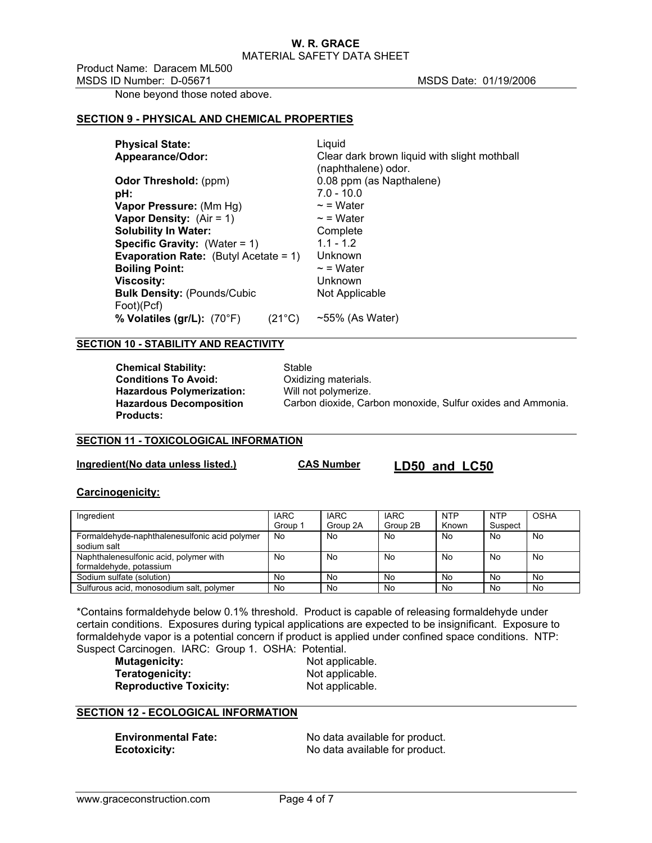Product Name: Daracem ML500 MSDS ID Number: D-05671 MSDS Date: 01/19/2006

None beyond those noted above.

### **SECTION 9 - PHYSICAL AND CHEMICAL PROPERTIES**

| <b>Physical State:</b>                          | Liquid                                                              |
|-------------------------------------------------|---------------------------------------------------------------------|
| Appearance/Odor:                                | Clear dark brown liquid with slight mothball<br>(naphthalene) odor. |
| <b>Odor Threshold: (ppm)</b>                    | 0.08 ppm (as Napthalene)                                            |
| pH:                                             | $7.0 - 10.0$                                                        |
| Vapor Pressure: (Mm Hq)                         | $\sim$ = Water                                                      |
| <b>Vapor Density:</b> $(Air = 1)$               | $\sim$ = Water                                                      |
| <b>Solubility In Water:</b>                     | Complete                                                            |
| <b>Specific Gravity:</b> (Water = $1$ )         | $1.1 - 1.2$                                                         |
| <b>Evaporation Rate:</b> (Butyl Acetate = $1$ ) | Unknown                                                             |
| <b>Boiling Point:</b>                           | $\sim$ = Water                                                      |
| <b>Viscosity:</b>                               | Unknown                                                             |
| <b>Bulk Density: (Pounds/Cubic)</b>             | Not Applicable                                                      |
| Foot)(Pcf)                                      |                                                                     |
| $(21^{\circ}C)$<br>% Volatiles (gr/L): (70°F)   | $~55\%$ (As Water)                                                  |

## **SECTION 10 - STABILITY AND REACTIVITY**

**Chemical Stability:** Stable **Conditions To Avoid: Conditions To Avoid:** Oxidizing materials. Hazardous Polymerization: Will not polymerize. **Hazardous Decomposition Products:** 

Carbon dioxide, Carbon monoxide, Sulfur oxides and Ammonia.

## **SECTION 11 - TOXICOLOGICAL INFORMATION**

**Ingredient(No data unless listed.) CAS Number LD50 and LC50**

### **Carcinogenicity:**

| Ingredient                                                        | <b>IARC</b> | <b>IARC</b> | <b>IARC</b> | <b>NTP</b> | <b>NTP</b> | <b>OSHA</b> |
|-------------------------------------------------------------------|-------------|-------------|-------------|------------|------------|-------------|
|                                                                   | Group 1     | Group 2A    | Group 2B    | Known      | Suspect    |             |
| Formaldehyde-naphthalenesulfonic acid polymer<br>sodium salt      | No          | <b>No</b>   | No          | <b>No</b>  | No         | No          |
| Naphthalenesulfonic acid, polymer with<br>formaldehyde, potassium | No          | <b>No</b>   | No          | No         | No         | No          |
| Sodium sulfate (solution)                                         | <b>No</b>   | No          | <b>No</b>   | <b>No</b>  | No         | No          |
| Sulfurous acid, monosodium salt, polymer                          | No          | No          | <b>No</b>   | No         | No         | No          |

\*Contains formaldehyde below 0.1% threshold. Product is capable of releasing formaldehyde under certain conditions. Exposures during typical applications are expected to be insignificant. Exposure to formaldehyde vapor is a potential concern if product is applied under confined space conditions. NTP: Suspect Carcinogen. IARC: Group 1. OSHA: Potential.

**Teratogenicity:** Not applicable.

Not applicable. **Reproductive Toxicity:** Not applicable.

## **SECTION 12 - ECOLOGICAL INFORMATION**

**Environmental Fate:** No data available for product. **Ecotoxicity:** No data available for product.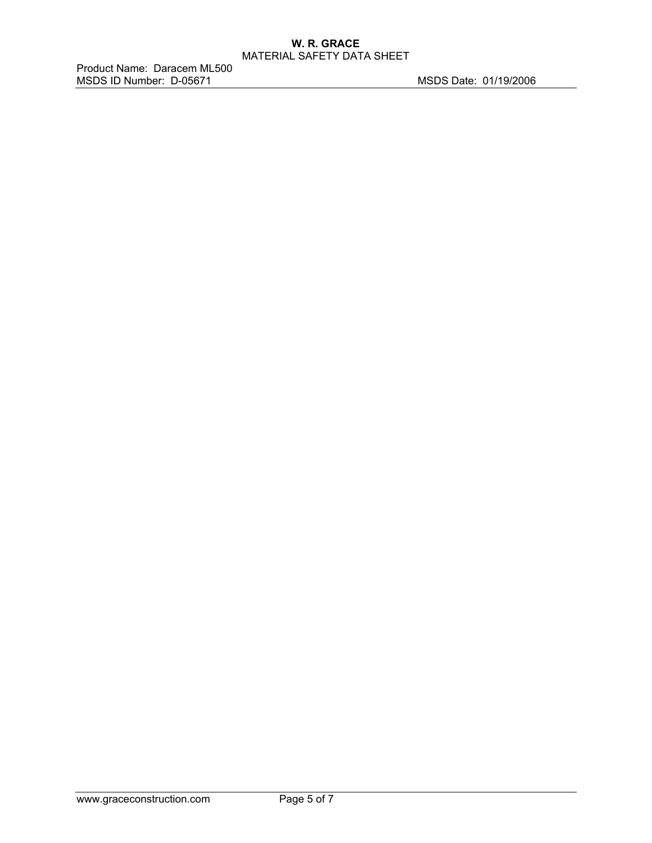Product Name: Daracem ML500 MSDS ID Number: D-05671 MSDS Date: 01/19/2006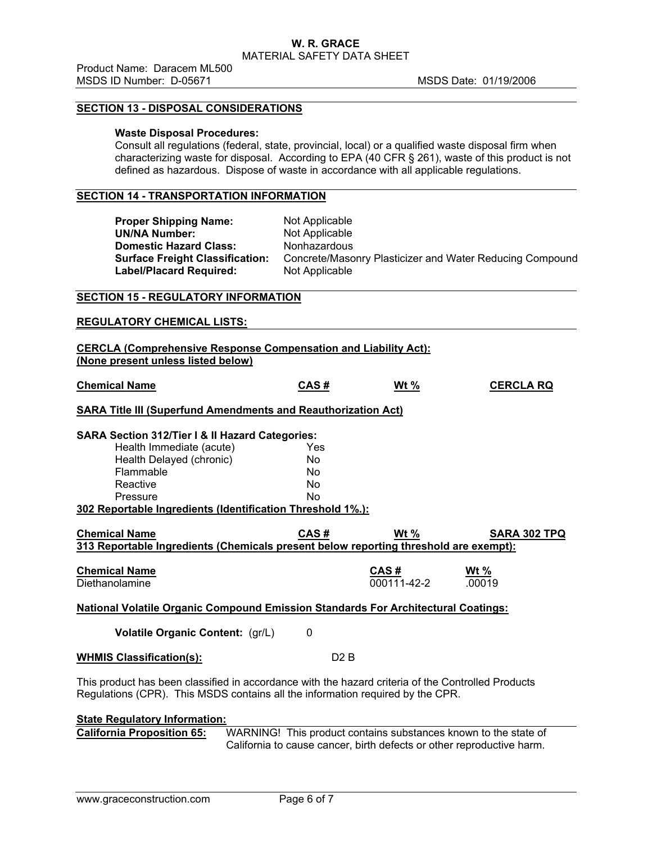### **SECTION 13 - DISPOSAL CONSIDERATIONS**

### **Waste Disposal Procedures:**

Consult all regulations (federal, state, provincial, local) or a qualified waste disposal firm when characterizing waste for disposal. According to EPA (40 CFR § 261), waste of this product is not defined as hazardous. Dispose of waste in accordance with all applicable regulations.

### **SECTION 14 - TRANSPORTATION INFORMATION**

**Proper Shipping Name:** Not Applicable **UN/NA Number:** Not Applicable **Domestic Hazard Class:** Nonhazardous **Surface Freight Classification:** Concrete/Masonry Plasticizer and Water Reducing Compound Label/Placard Required: Not Applicable

## **SECTION 15 - REGULATORY INFORMATION**

## **REGULATORY CHEMICAL LISTS:**

### **CERCLA (Comprehensive Response Compensation and Liability Act): (None present unless listed below)**

| <b>Chemical Name</b> | CAS # | Wt $%$ | <b>CERCLA RQ</b> |
|----------------------|-------|--------|------------------|
|                      |       |        |                  |

### **SARA Title III (Superfund Amendments and Reauthorization Act)**

### **SARA Section 312/Tier I & II Hazard Categories:**

| Health Immediate (acute) | Yes |
|--------------------------|-----|
| Health Delayed (chronic) | No  |
| Flammable                | No  |
| Reactive                 | No  |
| Pressure                 | Nο  |
|                          |     |

## **302 Reportable Ingredients (Identification Threshold 1%.):**

| <b>Chemical Name</b><br>313 Reportable Ingredients (Chemicals present below reporting threshold are exempt): | CAS# | Wt %        | SARA 302 TPQ |
|--------------------------------------------------------------------------------------------------------------|------|-------------|--------------|
| <b>Chemical Name</b>                                                                                         |      | CAS#        | Wt $%$       |
| Diethanolamine                                                                                               |      | 000111-42-2 | .00019       |

## **National Volatile Organic Compound Emission Standards For Architectural Coatings:**

| Volatile Organic Content: (gr/L) |  |  |  |  |  |
|----------------------------------|--|--|--|--|--|
|----------------------------------|--|--|--|--|--|

### **WHMIS Classification(s):** D2 B

This product has been classified in accordance with the hazard criteria of the Controlled Products Regulations (CPR). This MSDS contains all the information required by the CPR.

## **State Regulatory Information:**

**California Proposition 65:** WARNING! This product contains substances known to the state of California to cause cancer, birth defects or other reproductive harm.